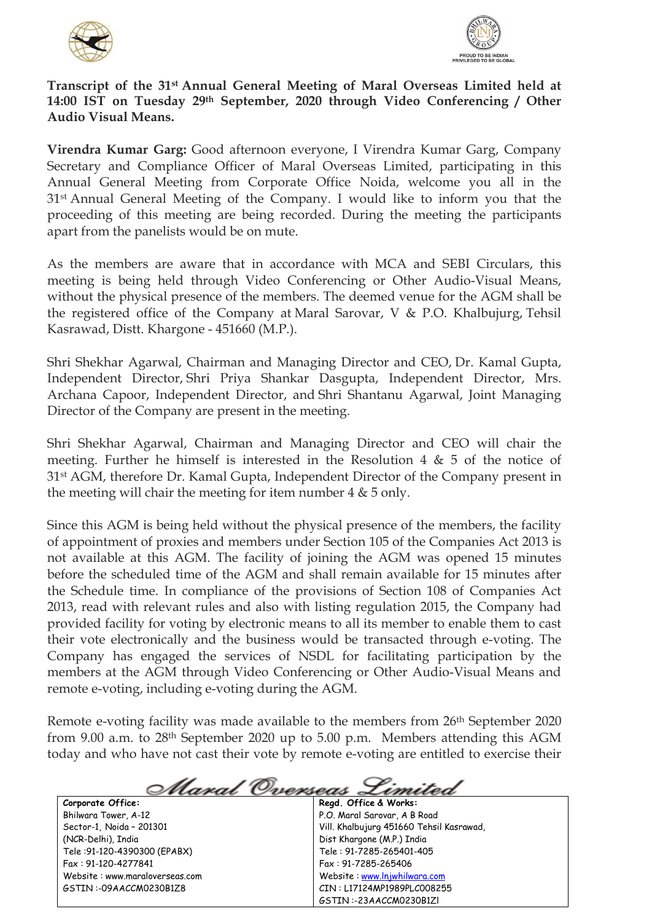



## **Transcript of the 31st Annual General Meeting of Maral Overseas Limited held at 14:00 IST on Tuesday 29th September, 2020 through Video Conferencing / Other Audio Visual Means.**

**Virendra Kumar Garg:** Good afternoon everyone, I Virendra Kumar Garg, Company Secretary and Compliance Officer of Maral Overseas Limited, participating in this Annual General Meeting from Corporate Office Noida, welcome you all in the 31st Annual General Meeting of the Company. I would like to inform you that the proceeding of this meeting are being recorded. During the meeting the participants apart from the panelists would be on mute.

As the members are aware that in accordance with MCA and SEBI Circulars, this meeting is being held through Video Conferencing or Other Audio-Visual Means, without the physical presence of the members. The deemed venue for the AGM shall be the registered office of the Company at Maral Sarovar, V & P.O. Khalbujurg, Tehsil Kasrawad, Distt. Khargone - 451660 (M.P.).

Shri Shekhar Agarwal, Chairman and Managing Director and CEO, Dr. Kamal Gupta, Independent Director, Shri Priya Shankar Dasgupta, Independent Director, Mrs. Archana Capoor, Independent Director, and Shri Shantanu Agarwal, Joint Managing Director of the Company are present in the meeting.

Shri Shekhar Agarwal, Chairman and Managing Director and CEO will chair the meeting. Further he himself is interested in the Resolution 4  $\&$  5 of the notice of 31st AGM, therefore Dr. Kamal Gupta, Independent Director of the Company present in the meeting will chair the meeting for item number 4 & 5 only.

Since this AGM is being held without the physical presence of the members, the facility of appointment of proxies and members under Section 105 of the Companies Act 2013 is not available at this AGM. The facility of joining the AGM was opened 15 minutes before the scheduled time of the AGM and shall remain available for 15 minutes after the Schedule time. In compliance of the provisions of Section 108 of Companies Act 2013, read with relevant rules and also with listing regulation 2015, the Company had provided facility for voting by electronic means to all its member to enable them to cast their vote electronically and the business would be transacted through e-voting. The Company has engaged the services of NSDL for facilitating participation by the members at the AGM through Video Conferencing or Other Audio-Visual Means and remote e-voting, including e-voting during the AGM.

Remote e-voting facility was made available to the members from 26th September 2020 from 9.00 a.m. to 28th September 2020 up to 5.00 p.m. Members attending this AGM today and who have not cast their vote by remote e-voting are entitled to exercise their

<u> Maral Overseas Limited</u> **Corporate Office: Regd. Office & Works:** P.O. Maral Sarovar, A B Road Bhilwara Tower, A-12 Sector-1, Noida – 201301 Vill. Khalbujurg 451660 Tehsil Kasrawad, (NCR-Delhi), India Dist Khargone (M.P.) India

Tele :91-120-4390300 (EPABX) Fax : 91-120-4277841 Website : www.maraloverseas.com GSTIN :-09AACCM0230B1Z8

Tele : 91-7285-265401-405 Fax : 91-7285-265406 Website : [www.lnjwhilwara.com](http://www.lnjwhilwara.com/) CIN : L17124MP1989PLC008255 GSTIN :-23AACCM0230B1Zl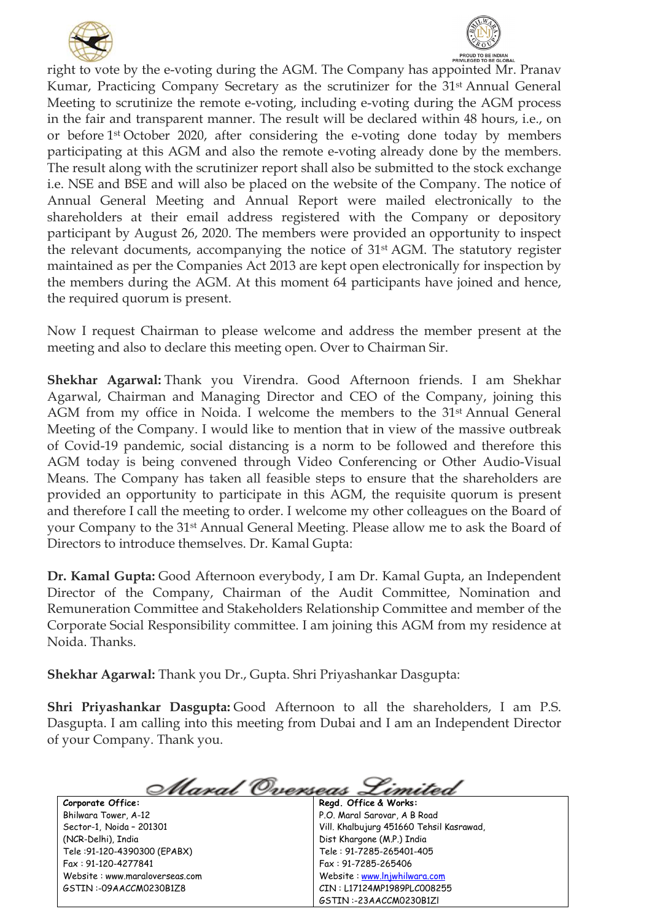



right to vote by the e-voting during the AGM. The Company has appointed Mr. Pranav Kumar, Practicing Company Secretary as the scrutinizer for the 31<sup>st</sup> Annual General Meeting to scrutinize the remote e-voting, including e-voting during the AGM process in the fair and transparent manner. The result will be declared within 48 hours, i.e., on or before 1st October 2020, after considering the e-voting done today by members participating at this AGM and also the remote e-voting already done by the members. The result along with the scrutinizer report shall also be submitted to the stock exchange i.e. NSE and BSE and will also be placed on the website of the Company. The notice of Annual General Meeting and Annual Report were mailed electronically to the shareholders at their email address registered with the Company or depository participant by August 26, 2020. The members were provided an opportunity to inspect the relevant documents, accompanying the notice of 31st AGM. The statutory register maintained as per the Companies Act 2013 are kept open electronically for inspection by the members during the AGM. At this moment 64 participants have joined and hence, the required quorum is present.

Now I request Chairman to please welcome and address the member present at the meeting and also to declare this meeting open. Over to Chairman Sir.

**Shekhar Agarwal:** Thank you Virendra. Good Afternoon friends. I am Shekhar Agarwal, Chairman and Managing Director and CEO of the Company, joining this AGM from my office in Noida. I welcome the members to the 31st Annual General Meeting of the Company. I would like to mention that in view of the massive outbreak of Covid-19 pandemic, social distancing is a norm to be followed and therefore this AGM today is being convened through Video Conferencing or Other Audio-Visual Means. The Company has taken all feasible steps to ensure that the shareholders are provided an opportunity to participate in this AGM, the requisite quorum is present and therefore I call the meeting to order. I welcome my other colleagues on the Board of your Company to the 31st Annual General Meeting. Please allow me to ask the Board of Directors to introduce themselves. Dr. Kamal Gupta:

**Dr. Kamal Gupta:** Good Afternoon everybody, I am Dr. Kamal Gupta, an Independent Director of the Company, Chairman of the Audit Committee, Nomination and Remuneration Committee and Stakeholders Relationship Committee and member of the Corporate Social Responsibility committee. I am joining this AGM from my residence at Noida. Thanks.

**Shekhar Agarwal:** Thank you Dr., Gupta. Shri Priyashankar Dasgupta:

**Shri Priyashankar Dasgupta:** Good Afternoon to all the shareholders, I am P.S. Dasgupta. I am calling into this meeting from Dubai and I am an Independent Director of your Company. Thank you.

**Corporate Office:**

Bhilwara Tower, A-12 Sector-1, Noida – 201301 (NCR-Delhi), India Tele :91-120-4390300 (EPABX) Fax : 91-120-4277841 Website : www.maraloverseas.com GSTIN :-09AACCM0230B1Z8

<u> Maral Overseas Limitei</u> **Regd. Office & Works:** P.O. Maral Sarovar, A B Road Vill. Khalbujurg 451660 Tehsil Kasrawad, Dist Khargone (M.P.) India Tele : 91-7285-265401-405 Fax : 91-7285-265406 Website : [www.lnjwhilwara.com](http://www.lnjwhilwara.com/) CIN : L17124MP1989PLC008255

GSTIN :-23AACCM0230B1Zl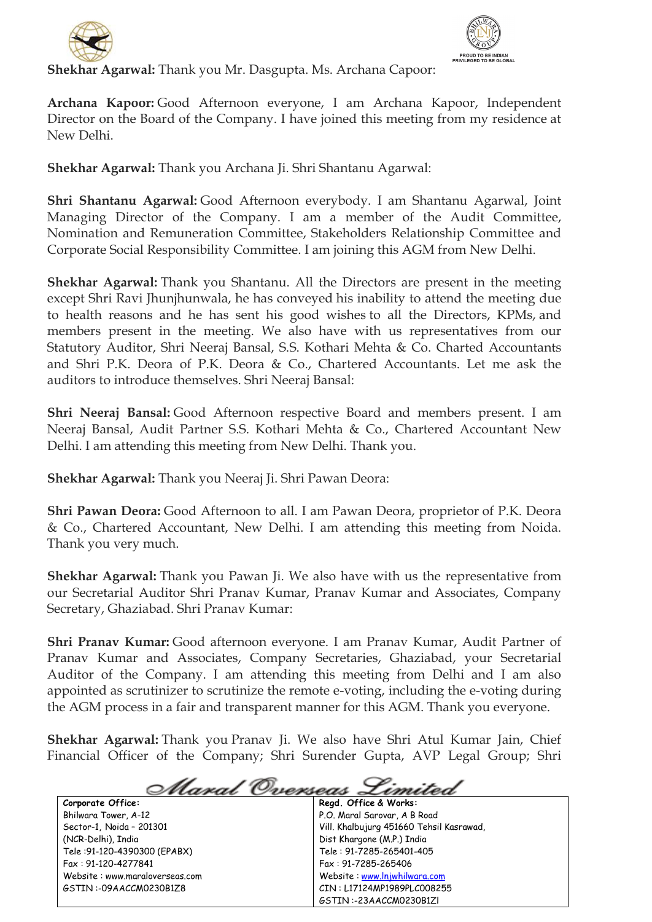



**Shekhar Agarwal:** Thank you Mr. Dasgupta. Ms. Archana Capoor:

**Archana Kapoor:** Good Afternoon everyone, I am Archana Kapoor, Independent Director on the Board of the Company. I have joined this meeting from my residence at New Delhi.

**Shekhar Agarwal:** Thank you Archana Ji. Shri Shantanu Agarwal:

**Shri Shantanu Agarwal:** Good Afternoon everybody. I am Shantanu Agarwal, Joint Managing Director of the Company. I am a member of the Audit Committee, Nomination and Remuneration Committee, Stakeholders Relationship Committee and Corporate Social Responsibility Committee. I am joining this AGM from New Delhi.

**Shekhar Agarwal:** Thank you Shantanu. All the Directors are present in the meeting except Shri Ravi Jhunjhunwala, he has conveyed his inability to attend the meeting due to health reasons and he has sent his good wishes to all the Directors, KPMs, and members present in the meeting. We also have with us representatives from our Statutory Auditor, Shri Neeraj Bansal, S.S. Kothari Mehta & Co. Charted Accountants and Shri P.K. Deora of P.K. Deora & Co., Chartered Accountants. Let me ask the auditors to introduce themselves. Shri Neeraj Bansal:

**Shri Neeraj Bansal:** Good Afternoon respective Board and members present. I am Neeraj Bansal, Audit Partner S.S. Kothari Mehta & Co., Chartered Accountant New Delhi. I am attending this meeting from New Delhi. Thank you.

**Shekhar Agarwal:** Thank you Neeraj Ji. Shri Pawan Deora:

**Shri Pawan Deora:** Good Afternoon to all. I am Pawan Deora, proprietor of P.K. Deora & Co., Chartered Accountant, New Delhi. I am attending this meeting from Noida. Thank you very much.

**Shekhar Agarwal:** Thank you Pawan Ji. We also have with us the representative from our Secretarial Auditor Shri Pranav Kumar, Pranav Kumar and Associates, Company Secretary, Ghaziabad. Shri Pranav Kumar:

**Shri Pranav Kumar:** Good afternoon everyone. I am Pranav Kumar, Audit Partner of Pranav Kumar and Associates, Company Secretaries, Ghaziabad, your Secretarial Auditor of the Company. I am attending this meeting from Delhi and I am also appointed as scrutinizer to scrutinize the remote e-voting, including the e-voting during the AGM process in a fair and transparent manner for this AGM. Thank you everyone.

**Shekhar Agarwal:** Thank you Pranav Ji. We also have Shri Atul Kumar Jain, Chief Financial Officer of the Company; Shri Surender Gupta, AVP Legal Group; Shri

Alaral Overseas imitei

**Corporate Office:** Bhilwara Tower, A-12 Sector-1, Noida – 201301 (NCR-Delhi), India Tele :91-120-4390300 (EPABX) Fax : 91-120-4277841 Website : www.maraloverseas.com GSTIN :-09AACCM0230B1Z8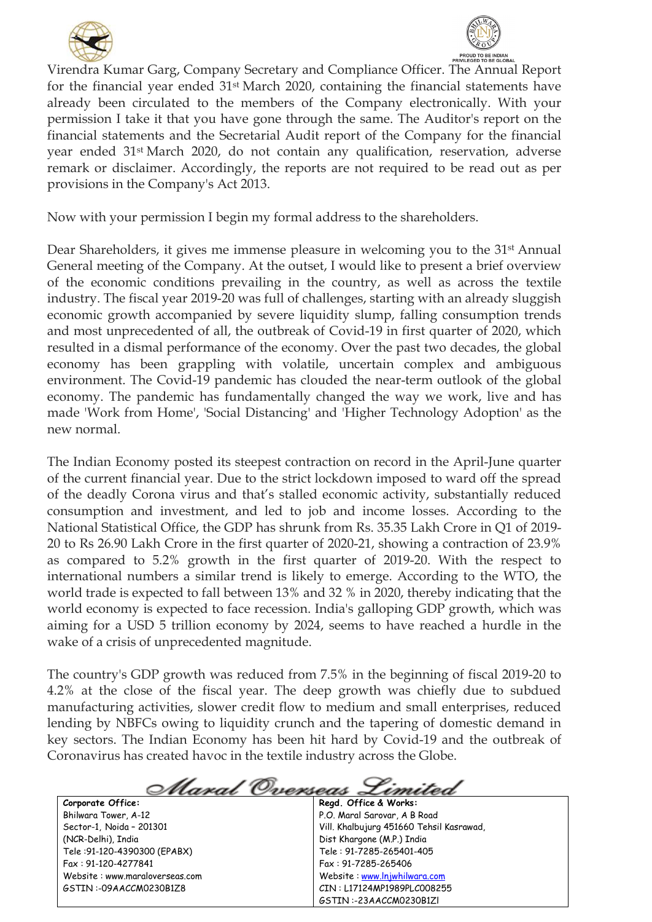



Virendra Kumar Garg, Company Secretary and Compliance Officer. The Annual Report for the financial year ended 31st March 2020, containing the financial statements have already been circulated to the members of the Company electronically. With your permission I take it that you have gone through the same. The Auditor's report on the financial statements and the Secretarial Audit report of the Company for the financial year ended 31st March 2020, do not contain any qualification, reservation, adverse remark or disclaimer. Accordingly, the reports are not required to be read out as per provisions in the Company's Act 2013.

Now with your permission I begin my formal address to the shareholders.

Dear Shareholders, it gives me immense pleasure in welcoming you to the 31<sup>st</sup> Annual General meeting of the Company. At the outset, I would like to present a brief overview of the economic conditions prevailing in the country, as well as across the textile industry. The fiscal year 2019-20 was full of challenges, starting with an already sluggish economic growth accompanied by severe liquidity slump, falling consumption trends and most unprecedented of all, the outbreak of Covid-19 in first quarter of 2020, which resulted in a dismal performance of the economy. Over the past two decades, the global economy has been grappling with volatile, uncertain complex and ambiguous environment. The Covid-19 pandemic has clouded the near-term outlook of the global economy. The pandemic has fundamentally changed the way we work, live and has made 'Work from Home', 'Social Distancing' and 'Higher Technology Adoption' as the new normal.

The Indian Economy posted its steepest contraction on record in the April-June quarter of the current financial year. Due to the strict lockdown imposed to ward off the spread of the deadly Corona virus and that's stalled economic activity, substantially reduced consumption and investment, and led to job and income losses. According to the National Statistical Office, the GDP has shrunk from Rs. 35.35 Lakh Crore in Q1 of 2019- 20 to Rs 26.90 Lakh Crore in the first quarter of 2020-21, showing a contraction of 23.9% as compared to 5.2% growth in the first quarter of 2019-20. With the respect to international numbers a similar trend is likely to emerge. According to the WTO, the world trade is expected to fall between 13% and 32 % in 2020, thereby indicating that the world economy is expected to face recession. India's galloping GDP growth, which was aiming for a USD 5 trillion economy by 2024, seems to have reached a hurdle in the wake of a crisis of unprecedented magnitude.

The country's GDP growth was reduced from 7.5% in the beginning of fiscal 2019-20 to 4.2% at the close of the fiscal year. The deep growth was chiefly due to subdued manufacturing activities, slower credit flow to medium and small enterprises, reduced lending by NBFCs owing to liquidity crunch and the tapering of domestic demand in key sectors. The Indian Economy has been hit hard by Covid-19 and the outbreak of Coronavirus has created havoc in the textile industry across the Globe.

<u>Maral Overseas</u> Zimitei **Regd. Office & Works:**

**Corporate Office:** Bhilwara Tower, A-12 Sector-1, Noida – 201301 (NCR-Delhi), India Tele :91-120-4390300 (EPABX) Fax : 91-120-4277841 Website : www.maraloverseas.com GSTIN :-09AACCM0230B1Z8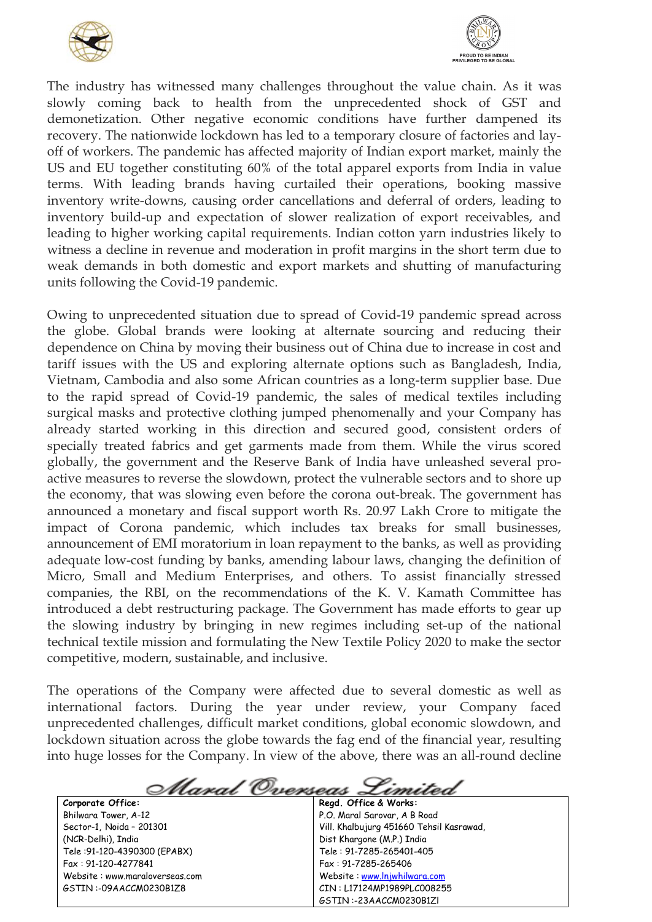



The industry has witnessed many challenges throughout the value chain. As it was slowly coming back to health from the unprecedented shock of GST and demonetization. Other negative economic conditions have further dampened its recovery. The nationwide lockdown has led to a temporary closure of factories and layoff of workers. The pandemic has affected majority of Indian export market, mainly the US and EU together constituting 60% of the total apparel exports from India in value terms. With leading brands having curtailed their operations, booking massive inventory write-downs, causing order cancellations and deferral of orders, leading to inventory build-up and expectation of slower realization of export receivables, and leading to higher working capital requirements. Indian cotton yarn industries likely to witness a decline in revenue and moderation in profit margins in the short term due to weak demands in both domestic and export markets and shutting of manufacturing units following the Covid-19 pandemic.

Owing to unprecedented situation due to spread of Covid-19 pandemic spread across the globe. Global brands were looking at alternate sourcing and reducing their dependence on China by moving their business out of China due to increase in cost and tariff issues with the US and exploring alternate options such as Bangladesh, India, Vietnam, Cambodia and also some African countries as a long-term supplier base. Due to the rapid spread of Covid-19 pandemic, the sales of medical textiles including surgical masks and protective clothing jumped phenomenally and your Company has already started working in this direction and secured good, consistent orders of specially treated fabrics and get garments made from them. While the virus scored globally, the government and the Reserve Bank of India have unleashed several proactive measures to reverse the slowdown, protect the vulnerable sectors and to shore up the economy, that was slowing even before the corona out-break. The government has announced a monetary and fiscal support worth Rs. 20.97 Lakh Crore to mitigate the impact of Corona pandemic, which includes tax breaks for small businesses, announcement of EMI moratorium in loan repayment to the banks, as well as providing adequate low-cost funding by banks, amending labour laws, changing the definition of Micro, Small and Medium Enterprises, and others. To assist financially stressed companies, the RBI, on the recommendations of the K. V. Kamath Committee has introduced a debt restructuring package. The Government has made efforts to gear up the slowing industry by bringing in new regimes including set-up of the national technical textile mission and formulating the New Textile Policy 2020 to make the sector competitive, modern, sustainable, and inclusive.

The operations of the Company were affected due to several domestic as well as international factors. During the year under review, your Company faced unprecedented challenges, difficult market conditions, global economic slowdown, and lockdown situation across the globe towards the fag end of the financial year, resulting into huge losses for the Company. In view of the above, there was an all-round decline

<u> Maral Overseas Limited</u> **Regd. Office & Works:**

Bhilwara Tower, A-12 Sector-1, Noida – 201301 (NCR-Delhi), India Tele :91-120-4390300 (EPABX) Fax : 91-120-4277841 Website : www.maraloverseas.com GSTIN :-09AACCM0230B1Z8

**Corporate Office:**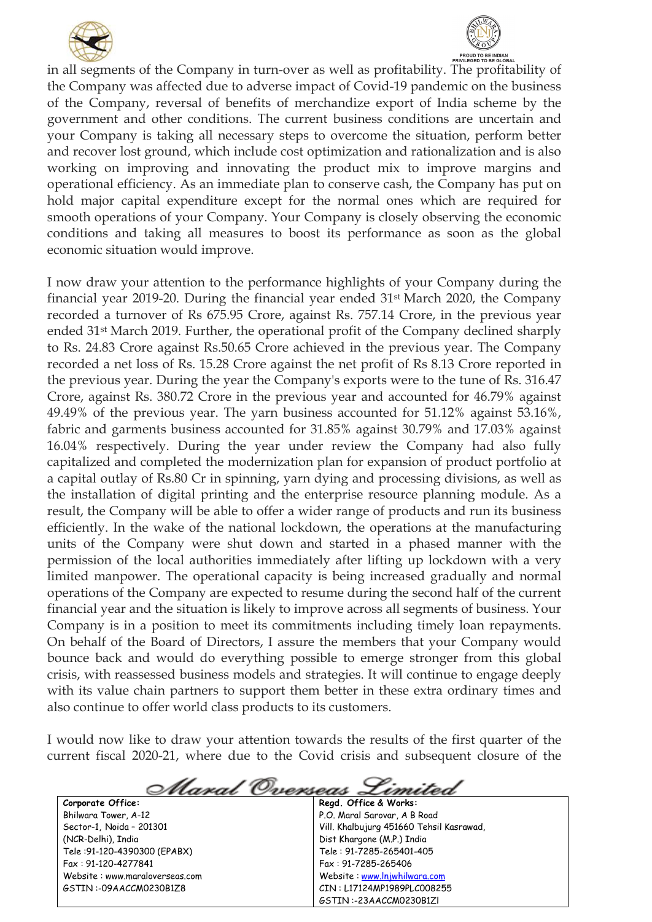



in all segments of the Company in turn-over as well as profitability. The profitability of the Company was affected due to adverse impact of Covid-19 pandemic on the business of the Company, reversal of benefits of merchandize export of India scheme by the government and other conditions. The current business conditions are uncertain and your Company is taking all necessary steps to overcome the situation, perform better and recover lost ground, which include cost optimization and rationalization and is also working on improving and innovating the product mix to improve margins and operational efficiency. As an immediate plan to conserve cash, the Company has put on hold major capital expenditure except for the normal ones which are required for smooth operations of your Company. Your Company is closely observing the economic conditions and taking all measures to boost its performance as soon as the global economic situation would improve.

I now draw your attention to the performance highlights of your Company during the financial year 2019-20. During the financial year ended 31st March 2020, the Company recorded a turnover of Rs 675.95 Crore, against Rs. 757.14 Crore, in the previous year ended 31st March 2019. Further, the operational profit of the Company declined sharply to Rs. 24.83 Crore against Rs.50.65 Crore achieved in the previous year. The Company recorded a net loss of Rs. 15.28 Crore against the net profit of Rs 8.13 Crore reported in the previous year. During the year the Company's exports were to the tune of Rs. 316.47 Crore, against Rs. 380.72 Crore in the previous year and accounted for 46.79% against 49.49% of the previous year. The yarn business accounted for 51.12% against 53.16%, fabric and garments business accounted for 31.85% against 30.79% and 17.03% against 16.04% respectively. During the year under review the Company had also fully capitalized and completed the modernization plan for expansion of product portfolio at a capital outlay of Rs.80 Cr in spinning, yarn dying and processing divisions, as well as the installation of digital printing and the enterprise resource planning module. As a result, the Company will be able to offer a wider range of products and run its business efficiently. In the wake of the national lockdown, the operations at the manufacturing units of the Company were shut down and started in a phased manner with the permission of the local authorities immediately after lifting up lockdown with a very limited manpower. The operational capacity is being increased gradually and normal operations of the Company are expected to resume during the second half of the current financial year and the situation is likely to improve across all segments of business. Your Company is in a position to meet its commitments including timely loan repayments. On behalf of the Board of Directors, I assure the members that your Company would bounce back and would do everything possible to emerge stronger from this global crisis, with reassessed business models and strategies. It will continue to engage deeply with its value chain partners to support them better in these extra ordinary times and also continue to offer world class products to its customers.

I would now like to draw your attention towards the results of the first quarter of the current fiscal 2020-21, where due to the Covid crisis and subsequent closure of the

<u>Maral Overseas</u> Zimitei **Corporate Office: Regd. Office & Works:** P.O. Maral Sarovar, A B Road Bhilwara Tower, A-12 Sector-1, Noida – 201301 Vill. Khalbujurg 451660 Tehsil Kasrawad, (NCR-Delhi), India Dist Khargone (M.P.) India Tele :91-120-4390300 (EPABX) Tele : 91-7285-265401-405 Fax : 91-120-4277841 Fax : 91-7285-265406 Website : www.maraloverseas.com Website : [www.lnjwhilwara.com](http://www.lnjwhilwara.com/) GSTIN :-09AACCM0230B1Z8 CIN : L17124MP1989PLC008255 GSTIN :-23AACCM0230B1Zl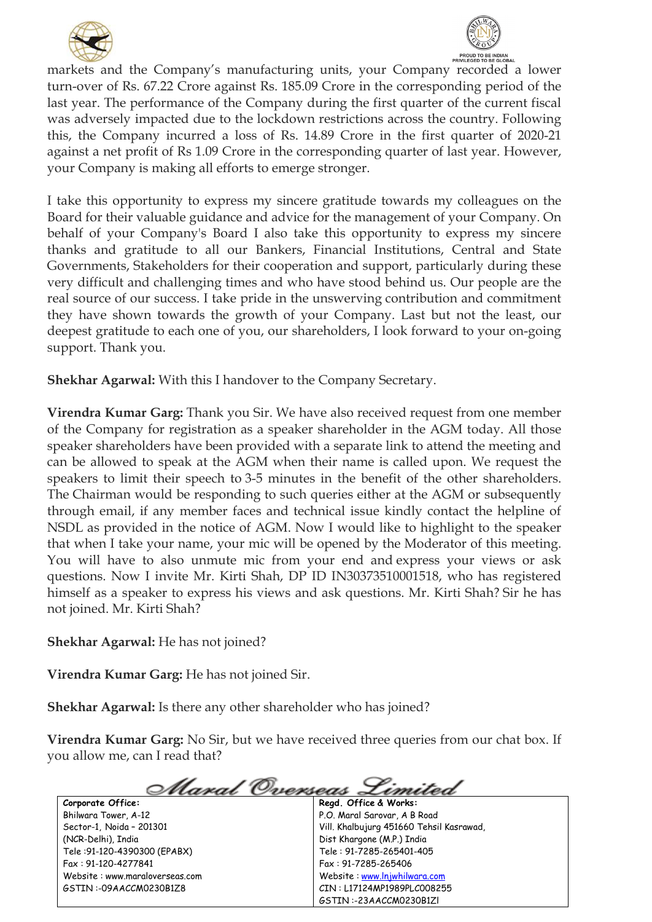



markets and the Company's manufacturing units, your Company recorded a lower turn-over of Rs. 67.22 Crore against Rs. 185.09 Crore in the corresponding period of the last year. The performance of the Company during the first quarter of the current fiscal was adversely impacted due to the lockdown restrictions across the country. Following this, the Company incurred a loss of Rs. 14.89 Crore in the first quarter of 2020-21 against a net profit of Rs 1.09 Crore in the corresponding quarter of last year. However, your Company is making all efforts to emerge stronger.

I take this opportunity to express my sincere gratitude towards my colleagues on the Board for their valuable guidance and advice for the management of your Company. On behalf of your Company's Board I also take this opportunity to express my sincere thanks and gratitude to all our Bankers, Financial Institutions, Central and State Governments, Stakeholders for their cooperation and support, particularly during these very difficult and challenging times and who have stood behind us. Our people are the real source of our success. I take pride in the unswerving contribution and commitment they have shown towards the growth of your Company. Last but not the least, our deepest gratitude to each one of you, our shareholders, I look forward to your on-going support. Thank you.

**Shekhar Agarwal:** With this I handover to the Company Secretary.

**Virendra Kumar Garg:** Thank you Sir. We have also received request from one member of the Company for registration as a speaker shareholder in the AGM today. All those speaker shareholders have been provided with a separate link to attend the meeting and can be allowed to speak at the AGM when their name is called upon. We request the speakers to limit their speech to 3-5 minutes in the benefit of the other shareholders. The Chairman would be responding to such queries either at the AGM or subsequently through email, if any member faces and technical issue kindly contact the helpline of NSDL as provided in the notice of AGM. Now I would like to highlight to the speaker that when I take your name, your mic will be opened by the Moderator of this meeting. You will have to also unmute mic from your end and express your views or ask questions. Now I invite Mr. Kirti Shah, DP ID IN30373510001518, who has registered himself as a speaker to express his views and ask questions. Mr. Kirti Shah? Sir he has not joined. Mr. Kirti Shah?

**Shekhar Agarwal:** He has not joined?

**Virendra Kumar Garg:** He has not joined Sir.

**Shekhar Agarwal:** Is there any other shareholder who has joined?

**Virendra Kumar Garg:** No Sir, but we have received three queries from our chat box. If you allow me, can I read that?

<u> Maral Overseas Limit</u>

**Corporate Office:** Bhilwara Tower, A-12 Sector-1, Noida – 201301 (NCR-Delhi), India Tele :91-120-4390300 (EPABX) Fax : 91-120-4277841 Website : www.maraloverseas.com GSTIN :-09AACCM0230B1Z8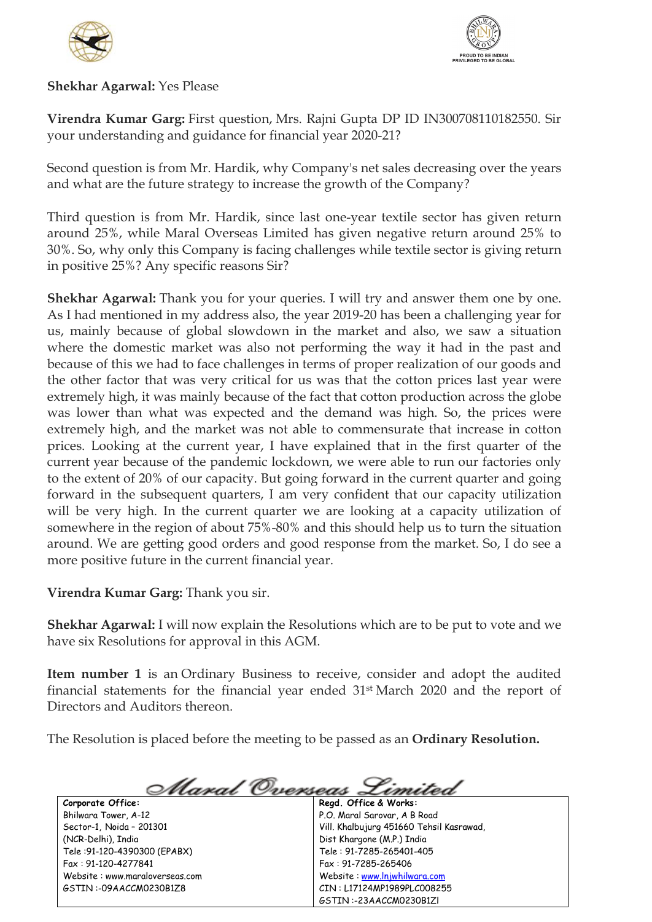



## **Shekhar Agarwal:** Yes Please

**Virendra Kumar Garg:** First question, Mrs. Rajni Gupta DP ID IN300708110182550. Sir your understanding and guidance for financial year 2020-21?

Second question is from Mr. Hardik, why Company's net sales decreasing over the years and what are the future strategy to increase the growth of the Company?

Third question is from Mr. Hardik, since last one-year textile sector has given return around 25%, while Maral Overseas Limited has given negative return around 25% to 30%. So, why only this Company is facing challenges while textile sector is giving return in positive 25%? Any specific reasons Sir?

**Shekhar Agarwal:** Thank you for your queries. I will try and answer them one by one. As I had mentioned in my address also, the year 2019-20 has been a challenging year for us, mainly because of global slowdown in the market and also, we saw a situation where the domestic market was also not performing the way it had in the past and because of this we had to face challenges in terms of proper realization of our goods and the other factor that was very critical for us was that the cotton prices last year were extremely high, it was mainly because of the fact that cotton production across the globe was lower than what was expected and the demand was high. So, the prices were extremely high, and the market was not able to commensurate that increase in cotton prices. Looking at the current year, I have explained that in the first quarter of the current year because of the pandemic lockdown, we were able to run our factories only to the extent of 20% of our capacity. But going forward in the current quarter and going forward in the subsequent quarters, I am very confident that our capacity utilization will be very high. In the current quarter we are looking at a capacity utilization of somewhere in the region of about 75%-80% and this should help us to turn the situation around. We are getting good orders and good response from the market. So, I do see a more positive future in the current financial year.

**Virendra Kumar Garg:** Thank you sir.

**Shekhar Agarwal:** I will now explain the Resolutions which are to be put to vote and we have six Resolutions for approval in this AGM.

**Item number 1** is an Ordinary Business to receive, consider and adopt the audited financial statements for the financial year ended 31st March 2020 and the report of Directors and Auditors thereon.

The Resolution is placed before the meeting to be passed as an **Ordinary Resolution.**

**Corporate Office:** Bhilwara Tower, A-12 Sector-1, Noida – 201301 (NCR-Delhi), India Tele :91-120-4390300 (EPABX) Fax : 91-120-4277841 Website : www.maraloverseas.com GSTIN :-09AACCM0230B1Z8

<u> Maral Overseas Limited</u> **Regd. Office & Works:** P.O. Maral Sarovar, A B Road Vill. Khalbujurg 451660 Tehsil Kasrawad, Dist Khargone (M.P.) India Tele : 91-7285-265401-405 Fax : 91-7285-265406 Website : [www.lnjwhilwara.com](http://www.lnjwhilwara.com/) CIN : L17124MP1989PLC008255

GSTIN :-23AACCM0230B1Zl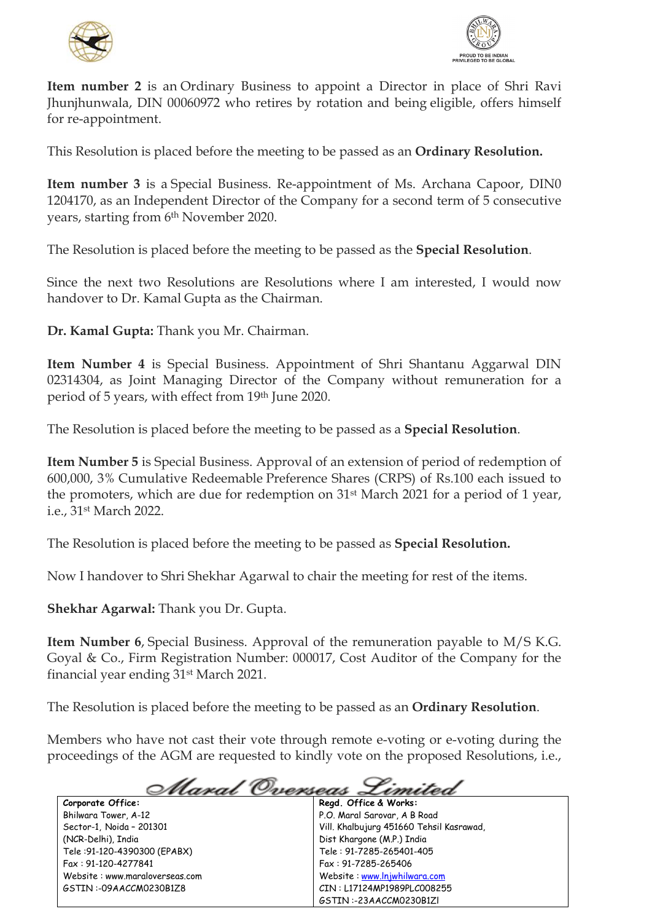



**Item number 2** is an Ordinary Business to appoint a Director in place of Shri Ravi Jhunjhunwala, DIN 00060972 who retires by rotation and being eligible, offers himself for re-appointment.

This Resolution is placed before the meeting to be passed as an **Ordinary Resolution.**

**Item number 3** is a Special Business. Re-appointment of Ms. Archana Capoor, DIN0 1204170, as an Independent Director of the Company for a second term of 5 consecutive years, starting from 6<sup>th</sup> November 2020.

The Resolution is placed before the meeting to be passed as the **Special Resolution**.

Since the next two Resolutions are Resolutions where I am interested, I would now handover to Dr. Kamal Gupta as the Chairman.

**Dr. Kamal Gupta:** Thank you Mr. Chairman.

**Item Number 4** is Special Business. Appointment of Shri Shantanu Aggarwal DIN 02314304, as Joint Managing Director of the Company without remuneration for a period of 5 years, with effect from 19th June 2020.

The Resolution is placed before the meeting to be passed as a **Special Resolution**.

**Item Number 5** is Special Business. Approval of an extension of period of redemption of 600,000, 3% Cumulative Redeemable Preference Shares (CRPS) of Rs.100 each issued to the promoters, which are due for redemption on 31st March 2021 for a period of 1 year, i.e., 31st March 2022.

The Resolution is placed before the meeting to be passed as **Special Resolution.**

Now I handover to Shri Shekhar Agarwal to chair the meeting for rest of the items.

**Shekhar Agarwal:** Thank you Dr. Gupta.

**Item Number 6**, Special Business. Approval of the remuneration payable to M/S K.G. Goyal & Co., Firm Registration Number: 000017, Cost Auditor of the Company for the financial year ending 31st March 2021.

The Resolution is placed before the meeting to be passed as an **Ordinary Resolution**.

Members who have not cast their vote through remote e-voting or e-voting during the proceedings of the AGM are requested to kindly vote on the proposed Resolutions, i.e.,

## <u>Maral Overseas</u> imitea

**Corporate Office:** Bhilwara Tower, A-12 Sector-1, Noida – 201301 (NCR-Delhi), India Tele :91-120-4390300 (EPABX) Fax : 91-120-4277841 Website : www.maraloverseas.com GSTIN :-09AACCM0230B1Z8